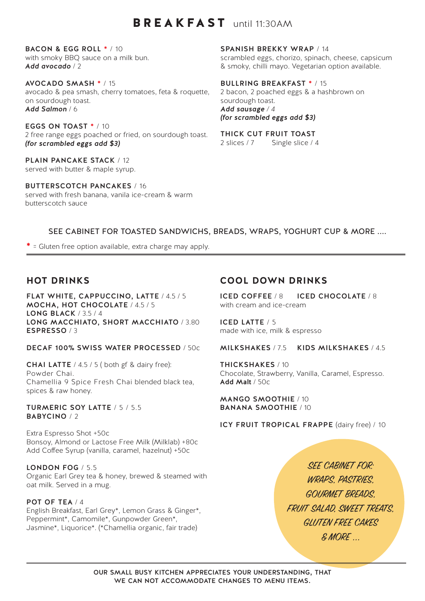# BREAKFAST until 11:30AM

BACON & EGG ROLL \* / 10 with smoky BBQ sauce on a milk bun. *Add avocado* / 2

AVOCADO SMASH \* / 15 avocado & pea smash, cherry tomatoes, feta & roquette, on sourdough toast. *Add Salmon* / 6

EGGS ON TOAST \* / 10 2 free range eggs poached or fried, on sourdough toast. *(for scrambled eggs add \$3)*

PLAIN PANCAKE STACK / 12 served with butter & maple syrup.

BUTTERSCOTCH PANCAKES / 16 served with fresh banana, vanila ice-cream & warm butterscotch sauce

SPANISH BREKKY WRAP / 14

scrambled eggs, chorizo, spinach, cheese, capsicum & smoky, chilli mayo. Vegetarian option available.

BULLRING BREAKFAST \* / 15

2 bacon, 2 poached eggs & a hashbrown on sourdough toast. *Add sausage / 4 (for scrambled eggs add \$3)*

THICK CUT FRUIT TOAST

2 slices / 7 Single slice / 4

SEE CABINET FOR TOASTED SANDWICHS, BREADS, WRAPS, YOGHURT CUP & MORE ....

**\*** = Gluten free option available, extra charge may apply.

# **HOT DRINKS**

FLAT WHITE, CAPPUCCINO, LATTE / 4.5 / 5 MOCHA, HOT CHOCOLATE / 4.5 / 5 LONG BLACK / 3.5 / 4 LONG MACCHIATO, SHORT MACCHIATO / 3.80 ESPRESSO / 3

DECAF 100% SWISS WATER PROCESSED / 50c

CHAI LATTE / 4.5 / 5 ( both gf & dairy free): Powder Chai. Chamellia 9 Spice Fresh Chai blended black tea, spices & raw honey.

TURMERIC SOY LATTE / 5 / 5.5 BABYCINO / 2

Extra Espresso Shot +50c Bonsoy, Almond or Lactose Free Milk (Milklab) +80c Add Coffee Syrup (vanilla, caramel, hazelnut) +50c

LONDON FOG / 5.5 Organic Earl Grey tea & honey, brewed & steamed with oat milk. Served in a mug.

#### POT OF TEA / 4

English Breakfast, Earl Grey\*, Lemon Grass & Ginger\*, Peppermint\*, Camomile\*, Gunpowder Green\*, Jasmine\*, Liquorice\*. (\*Chamellia organic, fair trade)

### **COOL DOWN DRINKS**

ICED COFFEE / 8 ICED CHOCOLATE / 8 with cream and ice-cream

ICED LATTE / 5 made with ice, milk & espresso

MILKSHAKES / 7.5 KIDS MILKSHAKES / 4.5

THICKSHAKES / 10 Chocolate, Strawberry, Vanilla, Caramel, Espresso. Add Malt / 50c

MANGO SMOOTHIE / 10 BANANA SMOOTHIE / 10

ICY FRUIT TROPICAL FRAPPE (dairy free) / 10

SEE CABINET FOR: WRAPS, PASTRIES, GOURMET BREADS, FRUIT SALAD, SWEET TREATS. GLUTEN FREE CAKES & MORE ...